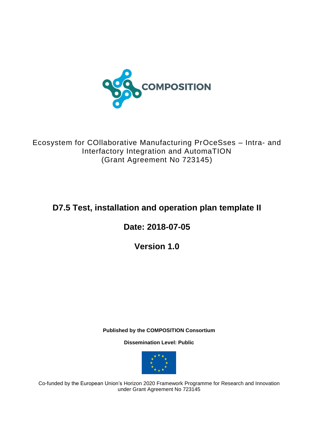

Ecosystem for COllaborative Manufacturing PrOceSses – Intra- and Interfactory Integration and AutomaTION (Grant Agreement No 723145)

# **D7.5 Test, installation and operation plan template II**

**Date: 2018-07-05**

**Version 1.0**

**Published by the COMPOSITION Consortium** 

**Dissemination Level: Public**



Co-funded by the European Union's Horizon 2020 Framework Programme for Research and Innovation under Grant Agreement No 723145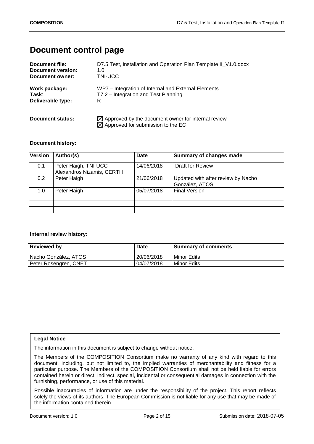## **Document control page**

| Document file:           | D7.5 Test, installation and Operation Plan Template II_V1.0.docx                                                |
|--------------------------|-----------------------------------------------------------------------------------------------------------------|
| <b>Document version:</b> | 1.0                                                                                                             |
| Document owner:          | TNI-UCC                                                                                                         |
| Work package:            | WP7 – Integration of Internal and External Elements                                                             |
| Task:                    | T7.2 - Integration and Test Planning                                                                            |
| Deliverable type:        | R                                                                                                               |
| Document status:         | $\boxtimes$ Approved by the document owner for internal review<br>$\boxtimes$ Approved for submission to the EC |

#### **Document history:**

| <b>Version</b> | Author(s)                                         | <b>Date</b> | Summary of changes made                              |
|----------------|---------------------------------------------------|-------------|------------------------------------------------------|
| 0.1            | Peter Haigh, TNI-UCC<br>Alexandros Nizamis, CERTH | 14/06/2018  | <b>Draft for Review</b>                              |
| 0.2            | Peter Haigh                                       | 21/06/2018  | Updated with after review by Nacho<br>González, ATOS |
| 1.0            | Peter Haigh                                       | 05/07/2018  | <b>Final Version</b>                                 |
|                |                                                   |             |                                                      |
|                |                                                   |             |                                                      |

#### **Internal review history:**

| <b>Reviewed by</b>    | <b>Date</b> | <b>Summary of comments</b> |
|-----------------------|-------------|----------------------------|
| Nacho González, ATOS  | 20/06/2018  | Minor Edits                |
| Peter Rosengren, CNET | 04/07/2018  | Minor Edits                |

## **Legal Notice**

The information in this document is subject to change without notice.

The Members of the COMPOSITION Consortium make no warranty of any kind with regard to this document, including, but not limited to, the implied warranties of merchantability and fitness for a particular purpose. The Members of the COMPOSITION Consortium shall not be held liable for errors contained herein or direct, indirect, special, incidental or consequential damages in connection with the furnishing, performance, or use of this material.

Possible inaccuracies of information are under the responsibility of the project. This report reflects solely the views of its authors. The European Commission is not liable for any use that may be made of the information contained therein.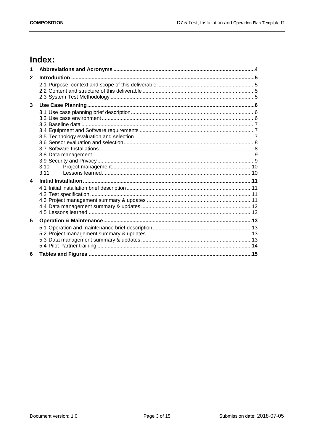## Index:

| 1                       |      |  |
|-------------------------|------|--|
| $\mathbf{2}$            |      |  |
|                         |      |  |
|                         |      |  |
|                         |      |  |
| 3                       |      |  |
|                         |      |  |
|                         |      |  |
|                         |      |  |
|                         |      |  |
|                         |      |  |
|                         |      |  |
|                         |      |  |
|                         |      |  |
|                         | 3.10 |  |
|                         | 3.11 |  |
| $\overline{\mathbf{4}}$ |      |  |
|                         |      |  |
|                         |      |  |
|                         |      |  |
|                         |      |  |
|                         |      |  |
| 5                       |      |  |
|                         |      |  |
|                         |      |  |
|                         |      |  |
|                         |      |  |
| 6                       |      |  |
|                         |      |  |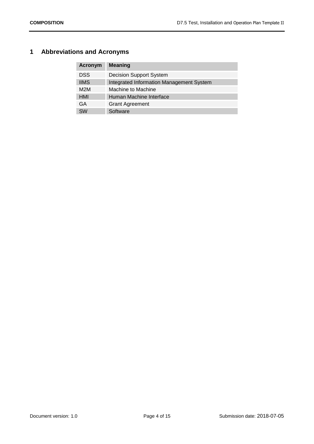## <span id="page-3-0"></span>**1 Abbreviations and Acronyms**

| <b>Acronym</b> | <b>Meaning</b>                           |
|----------------|------------------------------------------|
| <b>DSS</b>     | <b>Decision Support System</b>           |
| <b>IIMS</b>    | Integrated Information Management System |
| M2M            | Machine to Machine                       |
| HMI            | Human Machine Interface                  |
| GA             | <b>Grant Agreement</b>                   |
| <b>SW</b>      | Software                                 |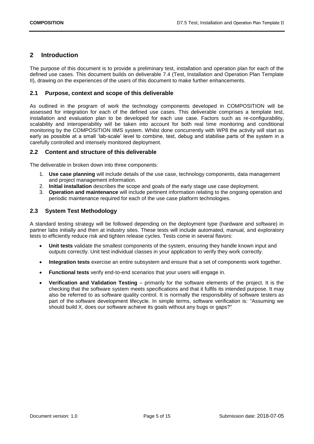## <span id="page-4-0"></span>**2 Introduction**

The purpose of this document is to provide a preliminary test, installation and operation plan for each of the defined use cases. This document builds on deliverable 7.4 (Test, Installation and Operation Plan Template II), drawing on the experiences of the users of this document to make further enhancements.

#### <span id="page-4-1"></span>**2.1 Purpose, context and scope of this deliverable**

As outlined in the program of work the technology components developed in COMPOSITION will be assessed for integration for each of the defined use cases. This deliverable comprises a template test, installation and evaluation plan to be developed for each use case. Factors such as re-configurability, scalability and interoperability will be taken into account for both real time monitoring and conditional monitoring by the COMPOSITION IIMS system. Whilst done concurrently with WP8 the activity will start as early as possible at a small 'lab-scale' level to combine, test, debug and stabilise parts of the system in a carefully controlled and intensely monitored deployment.

#### <span id="page-4-2"></span>**2.2 Content and structure of this deliverable**

The deliverable in broken down into three components:

- 1. **Use case planning** will include details of the use case, technology components, data management and project management information.
- 2. **Initial installation** describes the scope and goals of the early stage use case deployment.
- 3. **Operation and maintenance** will include pertinent information relating to the ongoing operation and periodic maintenance required for each of the use case platform technologies.

#### <span id="page-4-3"></span>**2.3 System Test Methodology**

A standard testing strategy will be followed depending on the deployment type (hardware and software) in partner labs initially and then at industry sites. These tests will include automated, manual, and exploratory tests to efficiently reduce risk and tighten release cycles. Tests come in several flavors:

- **Unit tests** validate the smallest components of the system, ensuring they handle known input and outputs correctly. Unit test individual classes in your application to verify they work correctly.
- **Integration tests** exercise an entire subsystem and ensure that a set of components work together.
- **Functional tests** verify end-to-end scenarios that your users will engage in.
- **Verification and Validation Testing** primarily for the software elements of the project. It is the checking that the software system meets specifications and that it fulfils its intended purpose. It may also be referred to as software quality control. It is normally the responsibility of software testers as part of the software development lifecycle. In simple terms, software verification is: "Assuming we should build X, does our software achieve its goals without any bugs or gaps?"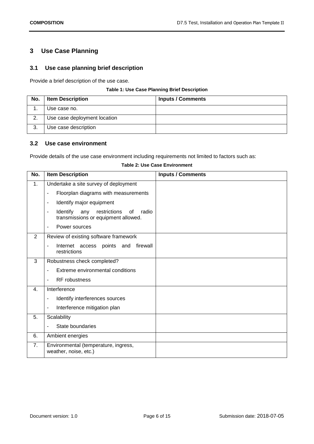## <span id="page-5-0"></span>**3 Use Case Planning**

## <span id="page-5-1"></span>**3.1 Use case planning brief description**

Provide a brief description of the use case.

#### **Table 1: Use Case Planning Brief Description**

<span id="page-5-4"></span>

| No. | <b>Item Description</b>      | <b>Inputs / Comments</b> |
|-----|------------------------------|--------------------------|
|     | Use case no.                 |                          |
| 2   | Use case deployment location |                          |
| -3. | Use case description         |                          |

## <span id="page-5-2"></span>**3.2 Use case environment**

Provide details of the use case environment including requirements not limited to factors such as:

#### **Table 2: Use Case Environment**

<span id="page-5-5"></span><span id="page-5-3"></span>

| No. | <b>Item Description</b>                                                                                           | <b>Inputs / Comments</b> |
|-----|-------------------------------------------------------------------------------------------------------------------|--------------------------|
| 1.  | Undertake a site survey of deployment                                                                             |                          |
|     | Floorplan diagrams with measurements<br>$\overline{\phantom{a}}$                                                  |                          |
|     | Identify major equipment<br>$\blacksquare$                                                                        |                          |
|     | Identify<br>restrictions<br>any<br>radio<br>0f<br>$\overline{\phantom{a}}$<br>transmissions or equipment allowed. |                          |
|     | Power sources<br>$\overline{\phantom{a}}$                                                                         |                          |
| 2   | Review of existing software framework                                                                             |                          |
|     | Internet access points and<br>firewall<br>$\blacksquare$<br>restrictions                                          |                          |
| 3   | Robustness check completed?                                                                                       |                          |
|     | Extreme environmental conditions                                                                                  |                          |
|     | <b>RF</b> robustness<br>$\blacksquare$                                                                            |                          |
| 4.  | Interference                                                                                                      |                          |
|     | Identify interferences sources<br>$\overline{\phantom{a}}$                                                        |                          |
|     | Interference mitigation plan<br>$\blacksquare$                                                                    |                          |
| 5.  | Scalability                                                                                                       |                          |
|     | State boundaries<br>$\overline{\phantom{a}}$                                                                      |                          |
| 6.  | Ambient energies                                                                                                  |                          |
| 7.  | Environmental (temperature, ingress,<br>weather, noise, etc.)                                                     |                          |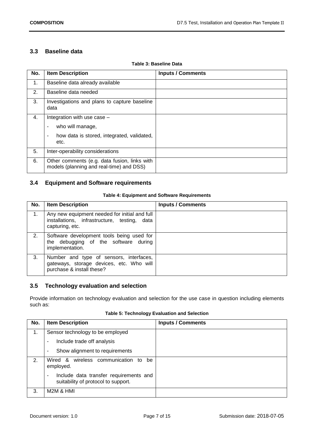## **3.3 Baseline data**

<span id="page-6-2"></span>

| No. | <b>Item Description</b>                                                                                                      | <b>Inputs / Comments</b> |
|-----|------------------------------------------------------------------------------------------------------------------------------|--------------------------|
| 1.  | Baseline data already available                                                                                              |                          |
| 2.  | Baseline data needed                                                                                                         |                          |
| 3.  | Investigations and plans to capture baseline<br>data                                                                         |                          |
| 4.  | Integration with use case -<br>who will manage,<br>۰<br>how data is stored, integrated, validated,<br>$\blacksquare$<br>etc. |                          |
| 5.  | Inter-operability considerations                                                                                             |                          |
| 6.  | Other comments (e.g. data fusion, links with<br>models (planning and real-time) and DSS)                                     |                          |

#### **Table 3: Baseline Data**

## <span id="page-6-0"></span>**3.4 Equipment and Software requirements**

#### **Table 4: Equipment and Software Requirements**

<span id="page-6-3"></span>

| No. | <b>Item Description</b>                                                                                          | <b>Inputs / Comments</b> |
|-----|------------------------------------------------------------------------------------------------------------------|--------------------------|
| 1.  | Any new equipment needed for initial and full<br>installations, infrastructure, testing, data<br>capturing, etc. |                          |
| 2.  | Software development tools being used for<br>the debugging of the software during<br>implementation.             |                          |
| 3.  | Number and type of sensors, interfaces,<br>gateways, storage devices, etc. Who will<br>purchase & install these? |                          |

## <span id="page-6-1"></span>**3.5 Technology evaluation and selection**

Provide information on technology evaluation and selection for the use case in question including elements such as:

|  | Table 5: Technology Evaluation and Selection |  |  |  |
|--|----------------------------------------------|--|--|--|
|--|----------------------------------------------|--|--|--|

<span id="page-6-4"></span>

| No. | <b>Item Description</b>                                                            | <b>Inputs / Comments</b> |
|-----|------------------------------------------------------------------------------------|--------------------------|
| 1.  | Sensor technology to be employed                                                   |                          |
|     | Include trade off analysis<br>۰                                                    |                          |
|     | Show alignment to requirements<br>۰                                                |                          |
| 2.  | wireless communication to<br>Wired &<br>be<br>employed.                            |                          |
|     | Include data transfer requirements and<br>۰<br>suitability of protocol to support. |                          |
| 3.  | M2M & HMI                                                                          |                          |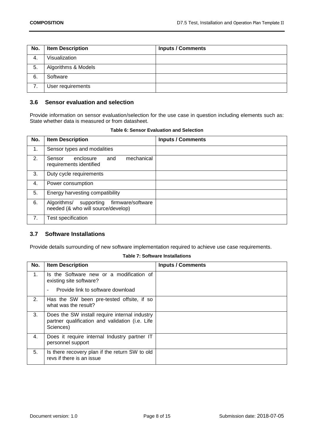| No. | <b>Item Description</b> | <b>Inputs / Comments</b> |
|-----|-------------------------|--------------------------|
| 4.  | Visualization           |                          |
| 5.  | Algorithms & Models     |                          |
| 6.  | Software                |                          |
|     | User requirements       |                          |

## <span id="page-7-0"></span>**3.6 Sensor evaluation and selection**

Provide information on sensor evaluation/selection for the use case in question including elements such as: State whether data is measured or from datasheet.

<span id="page-7-3"></span>

| No. | <b>Item Description</b>                                                              | <b>Inputs / Comments</b> |
|-----|--------------------------------------------------------------------------------------|--------------------------|
| 1.  | Sensor types and modalities                                                          |                          |
| 2.  | mechanical<br>Sensor<br>enclosure<br>and<br>requirements identified                  |                          |
| 3.  | Duty cycle requirements                                                              |                          |
| 4.  | Power consumption                                                                    |                          |
| 5.  | Energy harvesting compatibility                                                      |                          |
| 6.  | firmware/software<br>Algorithms/<br>supporting<br>needed (& who will source/develop) |                          |
| 7.  | Test specification                                                                   |                          |

#### **Table 6: Sensor Evaluation and Selection**

## <span id="page-7-1"></span>**3.7 Software Installations**

Provide details surrounding of new software implementation required to achieve use case requirements.

#### **Table 7: Software Installations**

<span id="page-7-4"></span><span id="page-7-2"></span>

| No. | <b>Item Description</b>                                                                                       | <b>Inputs / Comments</b> |
|-----|---------------------------------------------------------------------------------------------------------------|--------------------------|
| 1.  | Is the Software new or a modification of<br>existing site software?                                           |                          |
|     | Provide link to software download                                                                             |                          |
| 2.  | Has the SW been pre-tested offsite, if so<br>what was the result?                                             |                          |
| 3.  | Does the SW install require internal industry<br>partner qualification and validation (i.e. Life<br>Sciences) |                          |
| 4.  | Does it require internal Industry partner IT<br>personnel support                                             |                          |
| 5.  | Is there recovery plan if the return SW to old<br>revs if there is an issue                                   |                          |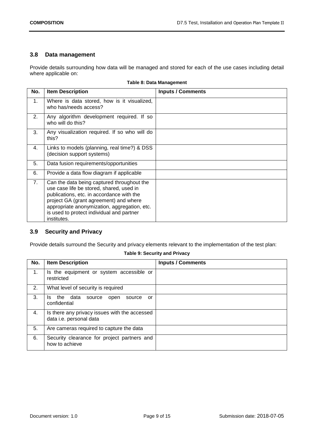## **3.8 Data management**

Provide details surrounding how data will be managed and stored for each of the use cases including detail where applicable on:

<span id="page-8-2"></span>

| No. | <b>Item Description</b>                                                                                                                                                                                                                                                                   | <b>Inputs / Comments</b> |
|-----|-------------------------------------------------------------------------------------------------------------------------------------------------------------------------------------------------------------------------------------------------------------------------------------------|--------------------------|
| 1.  | Where is data stored, how is it visualized,<br>who has/needs access?                                                                                                                                                                                                                      |                          |
| 2.  | Any algorithm development required. If so<br>who will do this?                                                                                                                                                                                                                            |                          |
| 3.  | Any visualization required. If so who will do<br>this?                                                                                                                                                                                                                                    |                          |
| 4.  | Links to models (planning, real time?) & DSS<br>(decision support systems)                                                                                                                                                                                                                |                          |
| 5.  | Data fusion requirements/opportunities                                                                                                                                                                                                                                                    |                          |
| 6.  | Provide a data flow diagram if applicable                                                                                                                                                                                                                                                 |                          |
| 7.  | Can the data being captured throughout the<br>use case life be stored, shared, used in<br>publications, etc. in accordance with the<br>project GA (grant agreement) and where<br>appropriate anonymization, aggregation, etc.<br>is used to protect individual and partner<br>institutes. |                          |

#### **Table 8: Data Management**

## <span id="page-8-0"></span>**3.9 Security and Privacy**

Provide details surround the Security and privacy elements relevant to the implementation of the test plan:

#### **Table 9: Security and Privacy**

<span id="page-8-3"></span><span id="page-8-1"></span>

| No. | <b>Item Description</b>                                                  | <b>Inputs / Comments</b> |
|-----|--------------------------------------------------------------------------|--------------------------|
| 1.  | Is the equipment or system accessible or<br>restricted                   |                          |
| 2.  | What level of security is required                                       |                          |
| 3.  | the data<br>source<br>Is.<br>open<br>source<br>or<br>confidential        |                          |
| 4.  | Is there any privacy issues with the accessed<br>data i.e. personal data |                          |
| 5.  | Are cameras required to capture the data                                 |                          |
| 6.  | Security clearance for project partners and<br>how to achieve            |                          |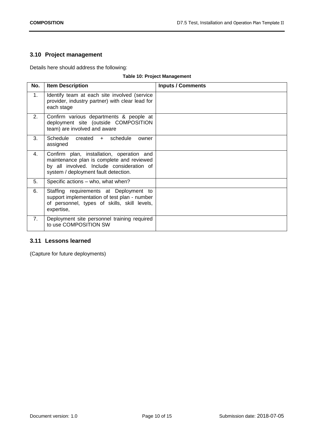## **3.10 Project management**

Details here should address the following:

#### **Table 10: Project Management**

<span id="page-9-1"></span>

| No. | <b>Item Description</b>                                                                                                                                                     | <b>Inputs / Comments</b> |
|-----|-----------------------------------------------------------------------------------------------------------------------------------------------------------------------------|--------------------------|
| 1.  | Identify team at each site involved (service<br>provider, industry partner) with clear lead for<br>each stage                                                               |                          |
| 2.  | Confirm various departments & people at<br>deployment site (outside COMPOSITION<br>team) are involved and aware                                                             |                          |
| 3.  | Schedule created + schedule<br>owner<br>assigned                                                                                                                            |                          |
| 4.  | Confirm plan, installation, operation and<br>maintenance plan is complete and reviewed<br>by all involved. Include consideration of<br>system / deployment fault detection. |                          |
| 5.  | Specific actions - who, what when?                                                                                                                                          |                          |
| 6.  | Staffing requirements at Deployment to<br>support implementation of test plan - number<br>of personnel, types of skills, skill levels,<br>expertise,                        |                          |
| 7.  | Deployment site personnel training required<br>to use COMPOSITION SW                                                                                                        |                          |

## <span id="page-9-0"></span>**3.11 Lessons learned**

(Capture for future deployments)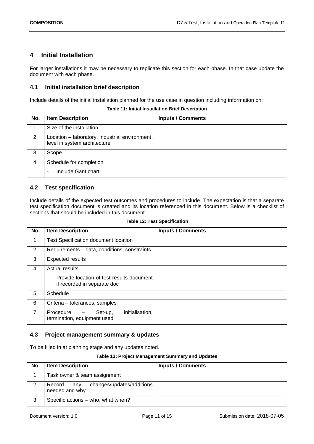## <span id="page-10-0"></span>**4 Initial Installation**

For larger installations it may be necessary to replicate this section for each phase. In that case update the document with each phase.

## <span id="page-10-1"></span>**4.1 Initial installation brief description**

Include details of the initial installation planned for the use case in question including information on:

<span id="page-10-4"></span>

| No. | <b>Item Description</b>                                                        | <b>Inputs / Comments</b> |
|-----|--------------------------------------------------------------------------------|--------------------------|
| 1.  | Size of the installation                                                       |                          |
| 2.  | Location - laboratory, industrial environment,<br>level in system architecture |                          |
| 3.  | Scope                                                                          |                          |
| 4.  | Schedule for completion<br>Include Gant chart<br>۰                             |                          |

**Table 11: Initial Installation Brief Description**

#### <span id="page-10-2"></span>**4.2 Test specification**

Include details of the expected test outcomes and procedures to include. The expectation is that a separate test specification document is created and its location referenced in this document. Below is a checklist of sections that should be included in this document.

<span id="page-10-5"></span>

| No. | <b>Item Description</b>                                                                                | <b>Inputs / Comments</b> |
|-----|--------------------------------------------------------------------------------------------------------|--------------------------|
| 1.  | <b>Test Specification document location</b>                                                            |                          |
| 2.  | Requirements – data, conditions, constraints                                                           |                          |
| 3.  | <b>Expected results</b>                                                                                |                          |
| 4.  | <b>Actual results</b><br>Provide location of test results document<br>٠<br>if recorded in separate doc |                          |
| 5.  | Schedule                                                                                               |                          |
| 6.  | Criteria - tolerances, samples                                                                         |                          |
| 7.  | initialisation,<br>Procedure<br>Set-up,<br>termination, equipment used                                 |                          |

## <span id="page-10-3"></span>**4.3 Project management summary & updates**

To be filled in at planning stage and any updates noted.

#### **Table 13: Project Management Summary and Updates**

<span id="page-10-6"></span>

| No. | <b>Item Description</b>                                      | <b>Inputs / Comments</b> |
|-----|--------------------------------------------------------------|--------------------------|
|     | Task owner & team assignment                                 |                          |
| 2.  | changes/updates/additions<br>Record<br>any<br>needed and why |                          |
| 3.  | Specific actions - who, what when?                           |                          |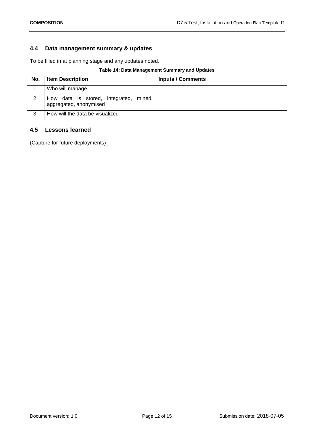## <span id="page-11-0"></span>**4.4 Data management summary & updates**

To be filled in at planning stage and any updates noted.

## **Table 14: Data Management Summary and Updates**

<span id="page-11-2"></span>

| No. | <b>Item Description</b>                                             | <b>Inputs / Comments</b> |
|-----|---------------------------------------------------------------------|--------------------------|
|     | Who will manage                                                     |                          |
| 2.  | How data is stored, integrated,<br>mined,<br>aggregated, anonymised |                          |
| 3.  | How will the data be visualized                                     |                          |

## <span id="page-11-1"></span>**4.5 Lessons learned**

(Capture for future deployments)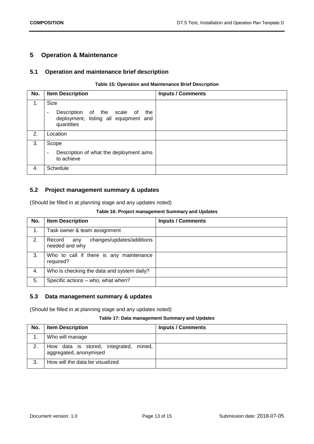## <span id="page-12-0"></span>**5 Operation & Maintenance**

#### <span id="page-12-1"></span>**5.1 Operation and maintenance brief description**

#### **Table 15: Operation and Maintenance Brief Description**

<span id="page-12-4"></span>

| No. | <b>Item Description</b>                                                                          | <b>Inputs / Comments</b> |
|-----|--------------------------------------------------------------------------------------------------|--------------------------|
| 1.  | <b>Size</b>                                                                                      |                          |
|     | Description of the scale of the<br>$\sim$<br>deployment, listing all equipment and<br>quantities |                          |
| 2.  | Location                                                                                         |                          |
| 3.  | Scope                                                                                            |                          |
|     | Description of what the deployment aims<br>$\blacksquare$<br>to achieve                          |                          |
| 4.  | Schedule                                                                                         |                          |

## <span id="page-12-2"></span>**5.2 Project management summary & updates**

<span id="page-12-5"></span>(Should be filled in at planning stage and any updates noted)

#### **Table 16: Project management Summary and Updates**

| No. | <b>Item Description</b>                                      | <b>Inputs / Comments</b> |
|-----|--------------------------------------------------------------|--------------------------|
| 1.  | Task owner & team assignment                                 |                          |
| 2.  | changes/updates/additions<br>Record<br>any<br>needed and why |                          |
| 3.  | Who to call if there is any maintenance<br>required?         |                          |
| 4.  | Who is checking the data and system daily?                   |                          |
| 5.  | Specific actions - who, what when?                           |                          |

#### <span id="page-12-3"></span>**5.3 Data management summary & updates**

(Should be filled in at planning stage and any updates noted)

#### **Table 17: Data management Summary and Updates**

<span id="page-12-6"></span>

| No. | <b>Item Description</b>                                          | <b>Inputs / Comments</b> |
|-----|------------------------------------------------------------------|--------------------------|
|     | Who will manage                                                  |                          |
| 2.  | How data is stored, integrated, mined,<br>aggregated, anonymised |                          |
| 3.  | How will the data be visualized                                  |                          |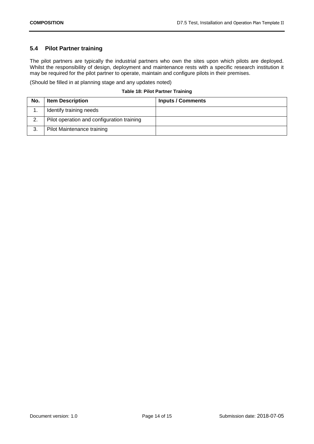## <span id="page-13-0"></span>**5.4 Pilot Partner training**

The pilot partners are typically the industrial partners who own the sites upon which pilots are deployed. Whilst the responsibility of design, deployment and maintenance rests with a specific research institution it may be required for the pilot partner to operate, maintain and configure pilots in their premises.

(Should be filled in at planning stage and any updates noted)

#### **Table 18: Pilot Partner Training**

<span id="page-13-1"></span>

| No. | <b>Item Description</b>                    | <b>Inputs / Comments</b> |
|-----|--------------------------------------------|--------------------------|
|     | Identify training needs                    |                          |
| 2.  | Pilot operation and configuration training |                          |
| 3.  | Pilot Maintenance training                 |                          |